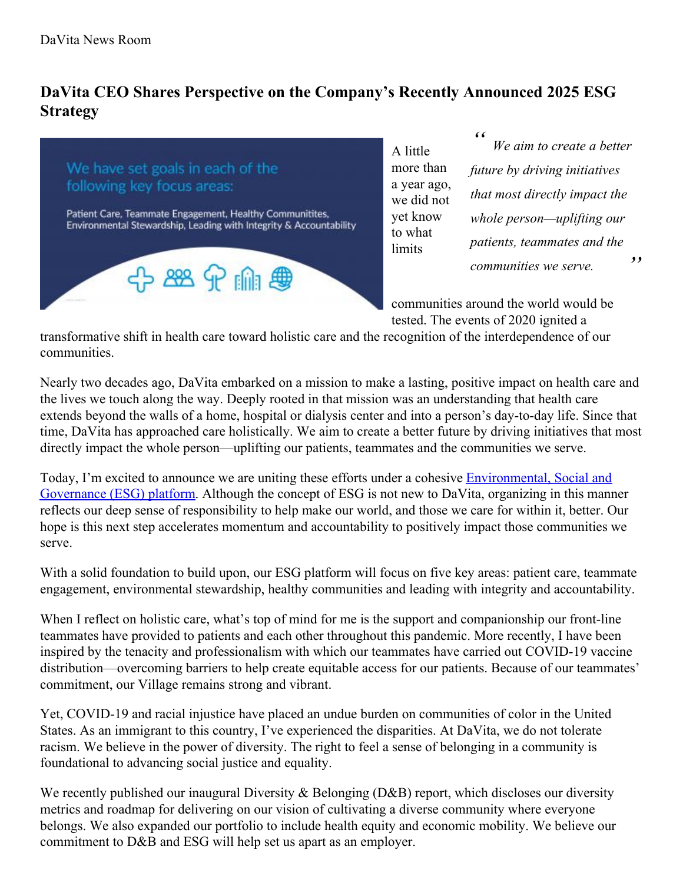## **DaVita CEO Shares Perspective on the Company's Recently Announced 2025 ESG Strategy**



A little more than a year ago, we did not yet know to what **limits** 

*" " We aim to create a better future by driving initiatives that most directly impact the whole person—uplifting our patients, teammates and the communities we serve.*

communities around the world would be tested. The events of 2020 ignited a

transformative shift in health care toward holistic care and the recognition of the interdependence of our communities.

Nearly two decades ago, DaVita embarked on a mission to make a lasting, positive impact on health care and the lives we touch along the way. Deeply rooted in that mission was an understanding that health care extends beyond the walls of a home, hospital or dialysis center and into a person's day-to-day life. Since that time, DaVita has approached care holistically. We aim to create a better future by driving initiatives that most directly impact the whole person—uplifting our patients, teammates and the communities we serve.

Today, I'm excited to announce we are uniting these efforts under a cohesive **Environmental**, Social and Governance (ESG) platform. Although the concept of ESG is not new to DaVita, organizing in this manner reflects our deep sense of responsibility to help make our world, and those we care for within it, better. Our hope is this next step accelerates momentum and accountability to positively impact those communities we serve.

With a solid foundation to build upon, our ESG platform will focus on five key areas: patient care, teammate engagement, environmental stewardship, healthy communities and leading with integrity and accountability.

When I reflect on holistic care, what's top of mind for me is the support and companionship our front-line teammates have provided to patients and each other throughout this pandemic. More recently, I have been inspired by the tenacity and professionalism with which our teammates have carried out COVID-19 vaccine distribution—overcoming barriers to help create equitable access for our patients. Because of our teammates' commitment, our Village remains strong and vibrant.

Yet, COVID-19 and racial injustice have placed an undue burden on communities of color in the United States. As an immigrant to this country, I've experienced the disparities. At DaVita, we do not tolerate racism. We believe in the power of diversity. The right to feel a sense of belonging in a community is foundational to advancing social justice and equality.

We recently published our inaugural Diversity & Belonging (D&B) report, which discloses our diversity metrics and roadmap for delivering on our vision of cultivating a diverse community where everyone belongs. We also expanded our portfolio to include health equity and economic mobility. We believe our commitment to D&B and ESG will help set us apart as an employer.